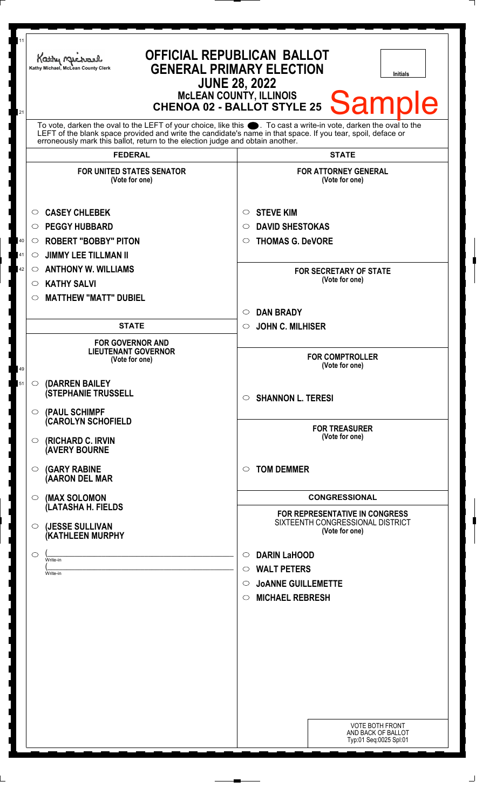| 11<br>21 | Kathy Michael<br>Kathy Michael, McLean County Clerk                                                                                                                                                                                                                                                                    | <b>OFFICIAL REPUBLICAN BALLOT</b><br><b>GENERAL PRIMARY ELECTION</b><br><b>Initials</b><br><b>JUNE 28, 2022</b><br><b>MCLEAN COUNTY, ILLINOIS</b><br><b>Sample</b><br><b>CHENOA 02 - BALLOT STYLE 25</b> |  |
|----------|------------------------------------------------------------------------------------------------------------------------------------------------------------------------------------------------------------------------------------------------------------------------------------------------------------------------|----------------------------------------------------------------------------------------------------------------------------------------------------------------------------------------------------------|--|
|          | To vote, darken the oval to the LEFT of your choice, like this $\bullet$ . To cast a write-in vote, darken the oval to the LEFT of the blank space provided and write the candidate's name in that space. If you tear, spoil, deface<br>erroneously mark this ballot, return to the election judge and obtain another. |                                                                                                                                                                                                          |  |
|          | <b>FEDERAL</b>                                                                                                                                                                                                                                                                                                         | <b>STATE</b>                                                                                                                                                                                             |  |
|          | <b>FOR UNITED STATES SENATOR</b><br>(Vote for one)<br><b>CASEY CHLEBEK</b><br>$\circ$                                                                                                                                                                                                                                  | <b>FOR ATTORNEY GENERAL</b><br>(Vote for one)<br><b>STEVE KIM</b><br>$\circ$                                                                                                                             |  |
|          | <b>PEGGY HUBBARD</b><br>$\circ$                                                                                                                                                                                                                                                                                        | <b>DAVID SHESTOKAS</b><br>$\circ$                                                                                                                                                                        |  |
| 40       | <b>ROBERT "BOBBY" PITON</b><br>$\circ$                                                                                                                                                                                                                                                                                 | <b>THOMAS G. DeVORE</b><br>$\circ$                                                                                                                                                                       |  |
| 41       | <b>JIMMY LEE TILLMAN II</b><br>$\circ$                                                                                                                                                                                                                                                                                 |                                                                                                                                                                                                          |  |
| 42       | <b>ANTHONY W. WILLIAMS</b><br>O                                                                                                                                                                                                                                                                                        | <b>FOR SECRETARY OF STATE</b>                                                                                                                                                                            |  |
|          | <b>KATHY SALVI</b><br>O                                                                                                                                                                                                                                                                                                | (Vote for one)                                                                                                                                                                                           |  |
|          | <b>MATTHEW "MATT" DUBIEL</b><br>◯                                                                                                                                                                                                                                                                                      |                                                                                                                                                                                                          |  |
|          |                                                                                                                                                                                                                                                                                                                        | <b>DAN BRADY</b><br>$\circ$                                                                                                                                                                              |  |
|          | <b>STATE</b>                                                                                                                                                                                                                                                                                                           | <b>JOHN C. MILHISER</b><br>$\circ$                                                                                                                                                                       |  |
| 49       | <b>FOR GOVERNOR AND</b><br><b>LIEUTENANT GOVERNOR</b><br>(Vote for one)                                                                                                                                                                                                                                                | <b>FOR COMPTROLLER</b><br>(Vote for one)                                                                                                                                                                 |  |
| 51       | <b>(DARREN BAILEY</b><br>$\circ$<br><b>(STEPHANIE TRUSSELL</b>                                                                                                                                                                                                                                                         | $\circ$ SHANNON L. TERESI                                                                                                                                                                                |  |
|          | (PAUL SCHIMPF<br>$\circ$<br><b>CAROLYN SCHOFIELD</b><br>(RICHARD C. IRVIN<br>O                                                                                                                                                                                                                                         | <b>FOR TREASURER</b><br>(Vote for one)                                                                                                                                                                   |  |
|          | <b>(AVERY BOURNE</b><br><b>(GARY RABINE</b><br>O                                                                                                                                                                                                                                                                       | <b>TOM DEMMER</b><br>$\circ$                                                                                                                                                                             |  |
|          | (AARON DEL MAR                                                                                                                                                                                                                                                                                                         |                                                                                                                                                                                                          |  |
|          | (MAX SOLOMON<br>$\circ$<br>(LATASHA H. FIELDS                                                                                                                                                                                                                                                                          | <b>CONGRESSIONAL</b><br>FOR REPRESENTATIVE IN CONGRESS                                                                                                                                                   |  |
|          | (JESSE SULLIVAN<br>$\circ$<br>(KATHLEEN MURPHY                                                                                                                                                                                                                                                                         | SIXTEENTH CONGRESSIONAL DISTRICT<br>(Vote for one)                                                                                                                                                       |  |
|          | O<br>Write-in<br>Write-in                                                                                                                                                                                                                                                                                              | <b>DARIN LaHOOD</b><br>$\circ$<br><b>WALT PETERS</b><br>$\circ$                                                                                                                                          |  |
|          |                                                                                                                                                                                                                                                                                                                        | <b>JOANNE GUILLEMETTE</b><br>$\circ$                                                                                                                                                                     |  |
|          |                                                                                                                                                                                                                                                                                                                        | <b>MICHAEL REBRESH</b><br>$\circ$                                                                                                                                                                        |  |
|          |                                                                                                                                                                                                                                                                                                                        |                                                                                                                                                                                                          |  |
|          |                                                                                                                                                                                                                                                                                                                        |                                                                                                                                                                                                          |  |
|          |                                                                                                                                                                                                                                                                                                                        |                                                                                                                                                                                                          |  |
|          |                                                                                                                                                                                                                                                                                                                        |                                                                                                                                                                                                          |  |
|          |                                                                                                                                                                                                                                                                                                                        |                                                                                                                                                                                                          |  |
|          |                                                                                                                                                                                                                                                                                                                        |                                                                                                                                                                                                          |  |
|          |                                                                                                                                                                                                                                                                                                                        | <b>VOTE BOTH FRONT</b>                                                                                                                                                                                   |  |
|          |                                                                                                                                                                                                                                                                                                                        | AND BACK OF BALLOT<br>Typ:01 Seq:0025 Spl:01                                                                                                                                                             |  |
|          |                                                                                                                                                                                                                                                                                                                        |                                                                                                                                                                                                          |  |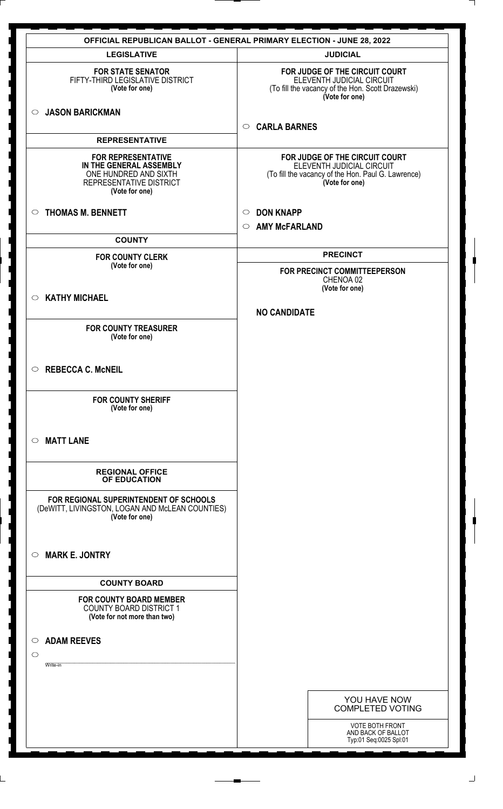|                                                                                                                            | <b>OFFICIAL REPUBLICAN BALLOT - GENERAL PRIMARY ELECTION - JUNE 28, 2022</b>                                                        |
|----------------------------------------------------------------------------------------------------------------------------|-------------------------------------------------------------------------------------------------------------------------------------|
| <b>LEGISLATIVE</b>                                                                                                         | <b>JUDICIAL</b>                                                                                                                     |
| <b>FOR STATE SENATOR</b><br>FIFTY-THIRD LEGISLATIVE DISTRICT<br>(Vote for one)                                             | FOR JUDGE OF THE CIRCUIT COURT<br>ELEVENTH JUDICIAL CIRCUIT<br>(To fill the vacancy of the Hon. Scott Drazewski)<br>(Vote for one)  |
| <b>JASON BARICKMAN</b><br>$\circ$                                                                                          | <b>CARLA BARNES</b><br>$\circ$                                                                                                      |
| <b>REPRESENTATIVE</b>                                                                                                      |                                                                                                                                     |
| <b>FOR REPRESENTATIVE</b><br>IN THE GENERAL ASSEMBLY<br>ONE HUNDRED AND SIXTH<br>REPRESENTATIVE DISTRICT<br>(Vote for one) | FOR JUDGE OF THE CIRCUIT COURT<br>ELEVENTH JUDICIAL CIRCUIT<br>(To fill the vacancy of the Hon. Paul G. Lawrence)<br>(Vote for one) |
| <b>THOMAS M. BENNETT</b><br>$\circ$                                                                                        | <b>DON KNAPP</b><br>$\circ$                                                                                                         |
|                                                                                                                            | <b>AMY McFARLAND</b><br>$\circ$                                                                                                     |
| <b>COUNTY</b>                                                                                                              |                                                                                                                                     |
| <b>FOR COUNTY CLERK</b>                                                                                                    | <b>PRECINCT</b>                                                                                                                     |
| (Vote for one)                                                                                                             | FOR PRECINCT COMMITTEEPERSON<br>CHENOA 02<br>(Vote for one)                                                                         |
| <b>KATHY MICHAEL</b><br>$\circ$                                                                                            |                                                                                                                                     |
|                                                                                                                            | <b>NO CANDIDATE</b>                                                                                                                 |
| <b>FOR COUNTY TREASURER</b>                                                                                                |                                                                                                                                     |
| (Vote for one)                                                                                                             |                                                                                                                                     |
| <b>REBECCA C. McNEIL</b><br>$\circ$                                                                                        |                                                                                                                                     |
| <b>FOR COUNTY SHERIFF</b><br>(Vote for one)                                                                                |                                                                                                                                     |
| <b>MATT LANE</b><br>$\circ$                                                                                                |                                                                                                                                     |
| <b>REGIONAL OFFICE</b><br>OF EDUCATION                                                                                     |                                                                                                                                     |
| FOR REGIONAL SUPERINTENDENT OF SCHOOLS<br>(DeWITT, LIVINGSTON, LOGAN AND McLEAN COUNTIES)<br>(Vote for one)                |                                                                                                                                     |
| <b>MARK E. JONTRY</b><br>$\circ$                                                                                           |                                                                                                                                     |
| <b>COUNTY BOARD</b><br><b>FOR COUNTY BOARD MEMBER</b><br><b>COUNTY BOARD DISTRICT 1</b><br>(Vote for not more than two)    |                                                                                                                                     |
| <b>ADAM REEVES</b><br>$\circ$                                                                                              |                                                                                                                                     |
| $\circ$                                                                                                                    |                                                                                                                                     |
| Write-in                                                                                                                   |                                                                                                                                     |
|                                                                                                                            |                                                                                                                                     |
|                                                                                                                            | YOU HAVE NOW                                                                                                                        |
|                                                                                                                            | <b>COMPLETED VOTING</b>                                                                                                             |
|                                                                                                                            | <b>VOTE BOTH FRONT</b><br>AND BACK OF BALLOT<br>Typ:01 Seq:0025 Spl:01                                                              |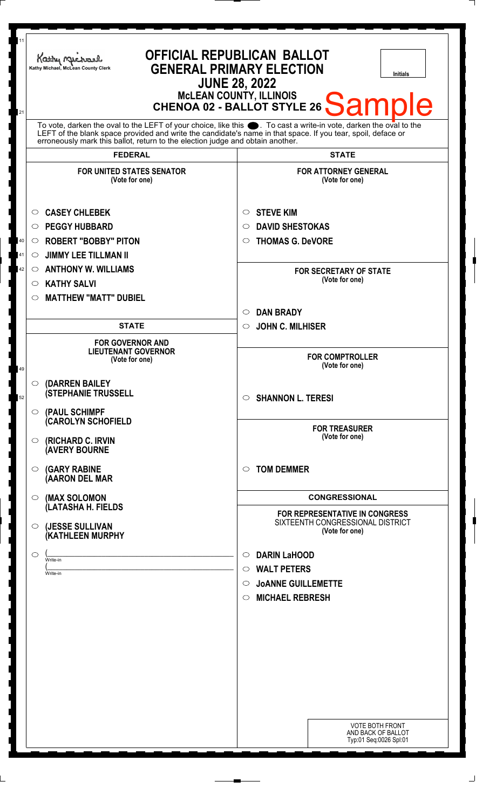| 11<br>21 | <b>OFFICIAL REPUBLICAN BALLOT</b><br>Kathy Michael<br><b>GENERAL PRIMARY ELECTION</b><br>Kathy Michael, McLean County Clerk<br><b>Initials</b><br><b>JUNE 28, 2022</b><br>MCLEAN COUNTY, ILLINOIS<br>CHENOA 02 - BALLOT STYLE 26 Sample                                                                                |                                                    |  |
|----------|------------------------------------------------------------------------------------------------------------------------------------------------------------------------------------------------------------------------------------------------------------------------------------------------------------------------|----------------------------------------------------|--|
|          | To vote, darken the oval to the LEFT of your choice, like this $\bullet$ . To cast a write-in vote, darken the oval to the LEFT of the blank space provided and write the candidate's name in that space. If you tear, spoil, deface<br>erroneously mark this ballot, return to the election judge and obtain another. |                                                    |  |
|          | <b>FEDERAL</b>                                                                                                                                                                                                                                                                                                         | <b>STATE</b>                                       |  |
|          | <b>FOR UNITED STATES SENATOR</b><br>(Vote for one)                                                                                                                                                                                                                                                                     | <b>FOR ATTORNEY GENERAL</b><br>(Vote for one)      |  |
|          | <b>CASEY CHLEBEK</b><br>$\circ$                                                                                                                                                                                                                                                                                        | <b>STEVE KIM</b><br>O                              |  |
|          | <b>PEGGY HUBBARD</b><br>◯                                                                                                                                                                                                                                                                                              | <b>DAVID SHESTOKAS</b><br>$\circ$                  |  |
| 40       | <b>ROBERT "BOBBY" PITON</b><br>$\circ$                                                                                                                                                                                                                                                                                 | <b>THOMAS G. DeVORE</b><br>$\circ$                 |  |
| 41       | <b>JIMMY LEE TILLMAN II</b><br>$\circ$                                                                                                                                                                                                                                                                                 |                                                    |  |
| 42       | <b>ANTHONY W. WILLIAMS</b><br>$\circ$                                                                                                                                                                                                                                                                                  | <b>FOR SECRETARY OF STATE</b>                      |  |
|          | <b>KATHY SALVI</b><br>$\circ$                                                                                                                                                                                                                                                                                          | (Vote for one)                                     |  |
|          | <b>MATTHEW "MATT" DUBIEL</b><br>O                                                                                                                                                                                                                                                                                      |                                                    |  |
|          |                                                                                                                                                                                                                                                                                                                        | <b>DAN BRADY</b><br>$\circlearrowright$            |  |
|          | <b>STATE</b>                                                                                                                                                                                                                                                                                                           | <b>JOHN C. MILHISER</b><br>$\circ$                 |  |
|          | <b>FOR GOVERNOR AND</b><br><b>LIEUTENANT GOVERNOR</b><br>(Vote for one)                                                                                                                                                                                                                                                | <b>FOR COMPTROLLER</b>                             |  |
| 49       |                                                                                                                                                                                                                                                                                                                        | (Vote for one)                                     |  |
| 52       | (DARREN BAILEY<br>$\bigcirc$<br><b>(STEPHANIE TRUSSELL</b>                                                                                                                                                                                                                                                             | $\circ$ SHANNON L. TERESI                          |  |
|          | (PAUL SCHIMPF<br>$\bigcirc$<br><b>(CAROLYN SCHOFIELD</b>                                                                                                                                                                                                                                                               |                                                    |  |
|          | (RICHARD C. IRVIN<br>$\circ$<br><b>(AVERY BOURNE</b>                                                                                                                                                                                                                                                                   | <b>FOR TREASURER</b><br>(Vote for one)             |  |
|          | <b>(GARY RABINE</b><br>$\circ$<br>(AARON DEL MAR                                                                                                                                                                                                                                                                       | <b>TOM DEMMER</b><br>$\circ$                       |  |
|          | (MAX SOLOMON<br>$\circ$                                                                                                                                                                                                                                                                                                | <b>CONGRESSIONAL</b>                               |  |
|          | (LATASHA H. FIELDS                                                                                                                                                                                                                                                                                                     | FOR REPRESENTATIVE IN CONGRESS                     |  |
|          | (JESSE SULLIVAN<br>$\circ$<br>(KATHLEEN MURPHY                                                                                                                                                                                                                                                                         | SIXTEENTH CONGRESSIONAL DISTRICT<br>(Vote for one) |  |
|          | $\circ$<br>Write-in                                                                                                                                                                                                                                                                                                    | <b>DARIN LaHOOD</b><br>O                           |  |
|          | Write-in                                                                                                                                                                                                                                                                                                               | <b>WALT PETERS</b><br>$\circ$                      |  |
|          |                                                                                                                                                                                                                                                                                                                        | <b>JOANNE GUILLEMETTE</b><br>$\circ$               |  |
|          |                                                                                                                                                                                                                                                                                                                        | <b>MICHAEL REBRESH</b><br>$\circ$                  |  |
|          |                                                                                                                                                                                                                                                                                                                        |                                                    |  |
|          |                                                                                                                                                                                                                                                                                                                        |                                                    |  |
|          |                                                                                                                                                                                                                                                                                                                        |                                                    |  |
|          |                                                                                                                                                                                                                                                                                                                        |                                                    |  |
|          |                                                                                                                                                                                                                                                                                                                        |                                                    |  |
|          |                                                                                                                                                                                                                                                                                                                        |                                                    |  |
|          |                                                                                                                                                                                                                                                                                                                        |                                                    |  |
|          |                                                                                                                                                                                                                                                                                                                        | <b>VOTE BOTH FRONT</b>                             |  |
|          |                                                                                                                                                                                                                                                                                                                        | AND BACK OF BALLOT<br>Typ:01 Seq:0026 Spl:01       |  |
|          |                                                                                                                                                                                                                                                                                                                        |                                                    |  |